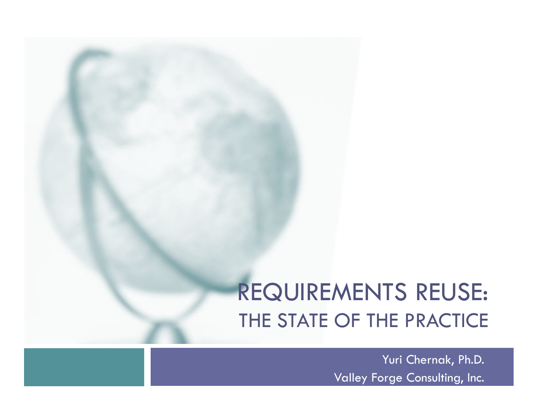# REQUIREMENTS REUSE: THE STATE OF THE PRACTICE

Yuri Chernak, Ph.D. Valley Forge Consulting, Inc.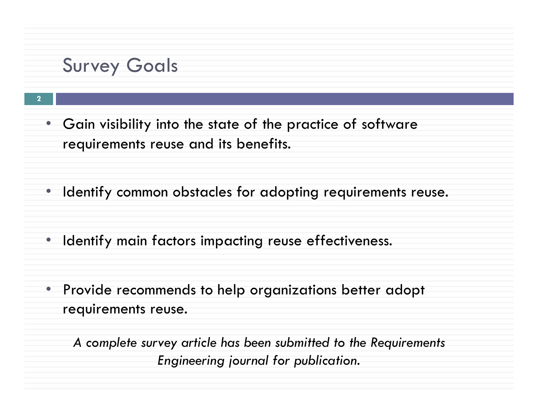### **Survey Goals**

**2** 

- Gain visibility into the state of the practice of software requirements reuse and its benefits.
- Identify common obstacles for adopting requirements reuse.
- Identify main factors impacting reuse effectiveness.
- Provide recommends to help organizations better adopt requirements reuse.

*A complete survey article has been submitted to the Requirements Engineering journal for publication.*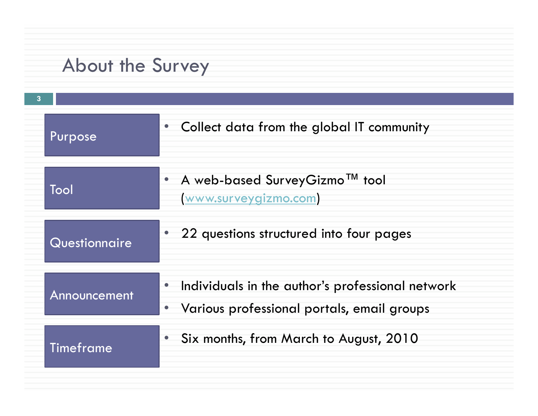# About the Survey

| $\overline{3}$ |                |                                                                                                    |
|----------------|----------------|----------------------------------------------------------------------------------------------------|
|                | <b>Purpose</b> | • Collect data from the global IT community                                                        |
|                | Tool           | • A web-based SurveyGizmo <sup>TM</sup> tool<br>www.surveygizmo.com                                |
|                | Questionnaire  | • 22 questions structured into four pages                                                          |
|                | Announcement   | • Individuals in the author's professional network<br>• Various professional portals, email groups |
|                | Timeframe      | Six months, from March to August, 2010                                                             |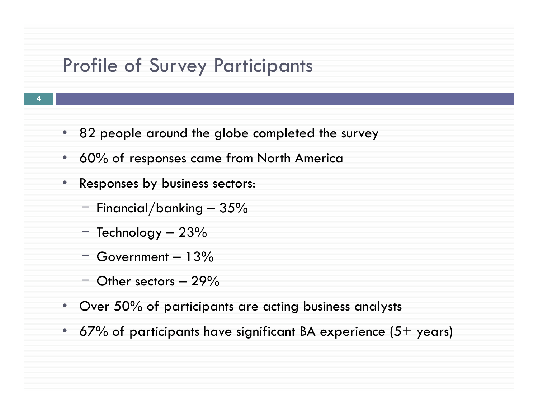### Profile of Survey Participants

- **4**
- 82 people around the globe completed the survey
- 60% of responses came from North America
- Responses by business sectors:
	- $-$  Financial/banking  $-35%$
	- $-$  Technology  $-23%$
	- $-$  Government  $-13%$
	- $-$  Other sectors  $-29\%$
- Over 50% of participants are acting business analysts
- 67% of participants have significant BA experience  $(5+)$  years)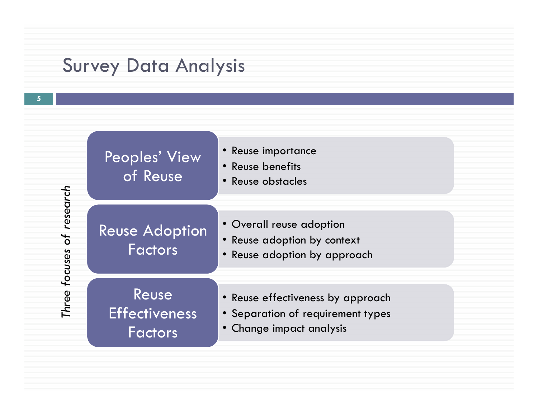## Survey Data Analysis



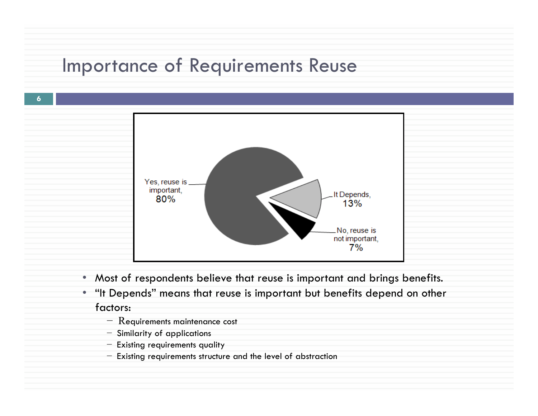### Importance of Requirements Reuse



- Most of respondents believe that reuse is important and brings benefits.
- "It Depends" means that reuse is important but benefits depend on other factors:
	- − Requirements maintenance cost
	- − Similarity of applications

- − Existing requirements quality
- − Existing requirements structure and the level of abstraction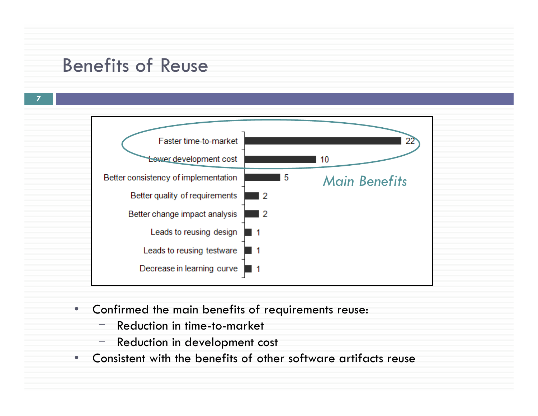### Benefits of Reuse



- Confirmed the main benefits of requirements reuse:
	- ‒ Reduction in time-to-market
	- Reduction in development cost
- Consistent with the benefits of other software artifacts reuse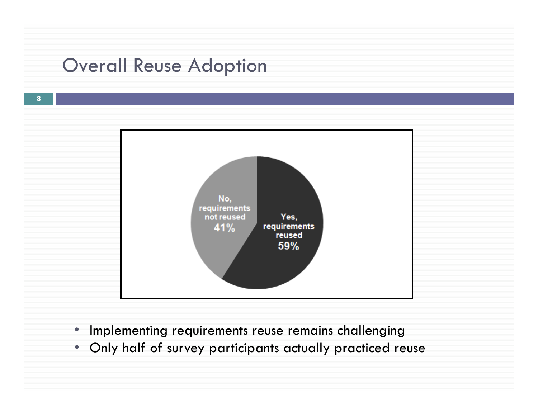### Overall Reuse Adoption



- Implementing requirements reuse remains challenging
- Only half of survey participants actually practiced reuse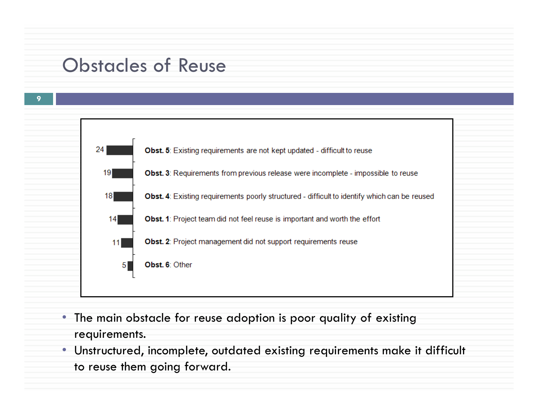### Obstacles of Reuse



- The main obstacle for reuse adoption is poor quality of existing requirements.
- Unstructured, incomplete, outdated existing requirements make it difficult to reuse them going forward.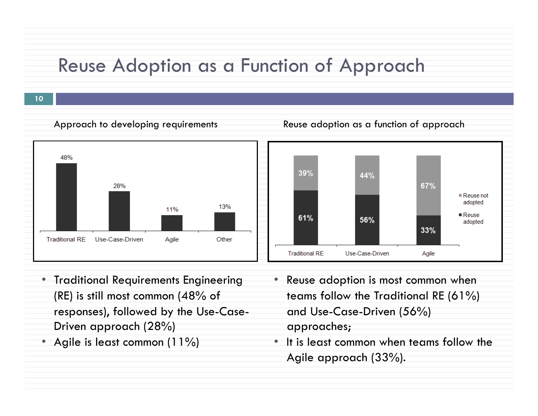### Reuse Adoption as a Function of Approach

Approach to developing requirements Reuse adoption as a function of approach



- Traditional Requirements Engineering (RE) is still most common (48% of responses), followed by the Use-Case-Driven approach (28%)
- Agile is least common (11%)
- Reuse adoption is most common when teams follow the Traditional RE (61%) and Use-Case-Driven (56%) approaches;
- It is least common when teams follow the Agile approach (33%).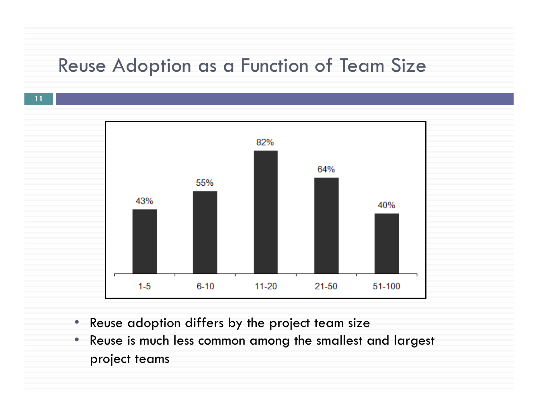### Reuse Adoption as a Function of Team Size



- Reuse adoption differs by the project team size
- Reuse is much less common among the smallest and largest project teams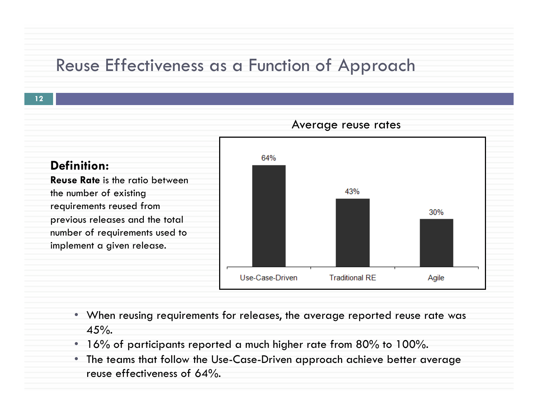### Reuse Effectiveness as a Function of Approach



- When reusing requirements for releases, the average reported reuse rate was  $45%$ .
- 16% of participants reported a much higher rate from 80% to 100%.
- The teams that follow the Use-Case-Driven approach achieve better average reuse effectiveness of 64%.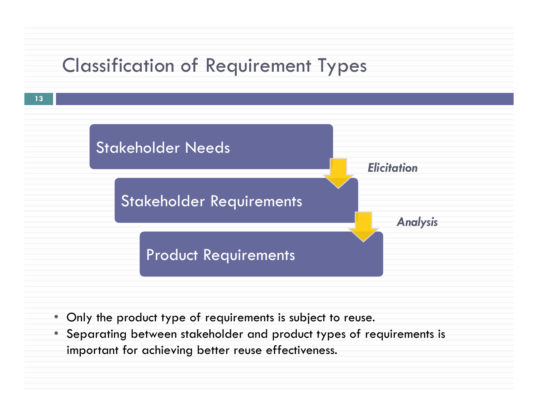## Classification of Requirement Types



- Only the product type of requirements is subject to reuse.
- Separating between stakeholder and product types of requirements is important for achieving better reuse effectiveness.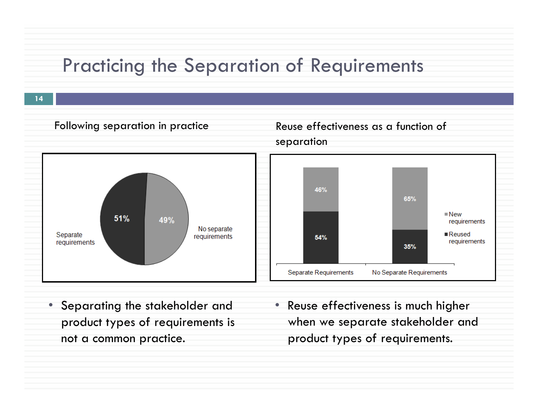### Practicing the Separation of Requirements



- Separating the stakeholder and product types of requirements is not a common practice.
- Reuse effectiveness is much higher when we separate stakeholder and product types of requirements.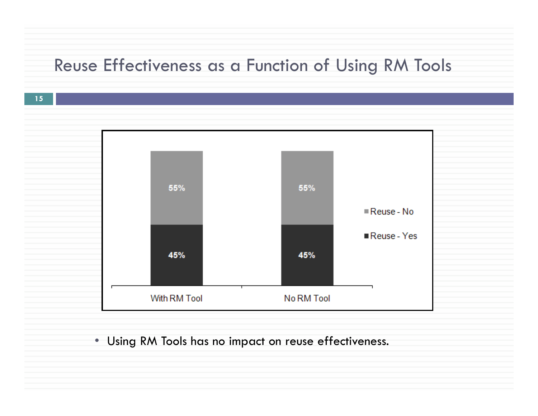### Reuse Effectiveness as a Function of Using RM Tools

**15** 



### • Using RM Tools has no impact on reuse effectiveness.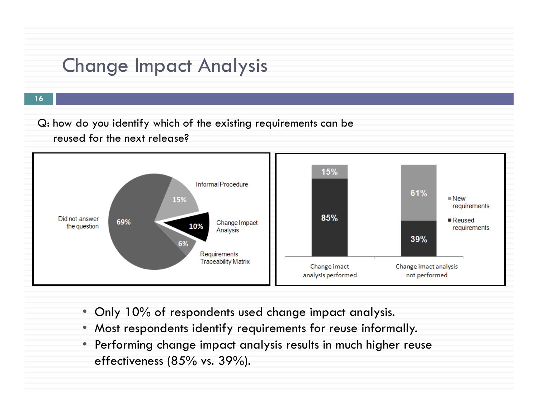## Change Impact Analysis

**16** 

Q: how do you identify which of the existing requirements can be reused for the next release?



- Only 10% of respondents used change impact analysis.
- Most respondents identify requirements for reuse informally.
- Performing change impact analysis results in much higher reuse effectiveness (85% vs. 39%).